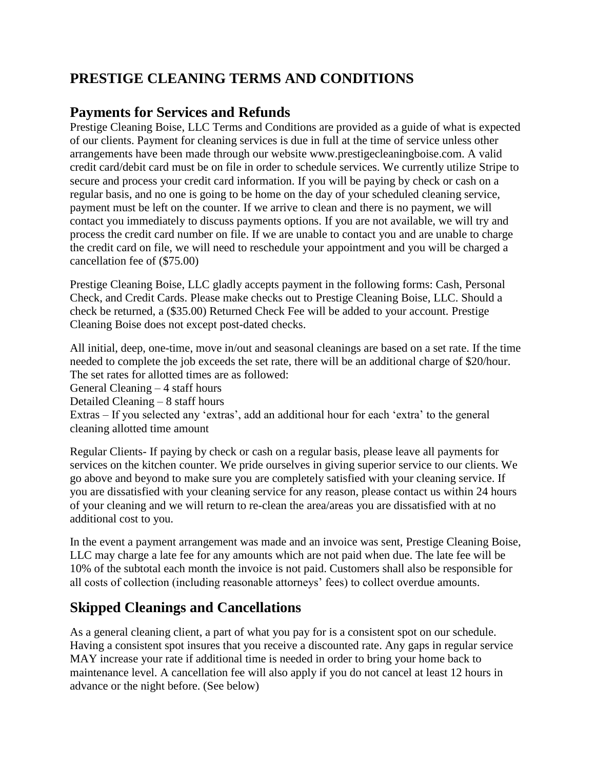# **PRESTIGE CLEANING TERMS AND CONDITIONS**

#### **Payments for Services and Refunds**

Prestige Cleaning Boise, LLC Terms and Conditions are provided as a guide of what is expected of our clients. Payment for cleaning services is due in full at the time of service unless other arrangements have been made through our website www.prestigecleaningboise.com. A valid credit card/debit card must be on file in order to schedule services. We currently utilize Stripe to secure and process your credit card information. If you will be paying by check or cash on a regular basis, and no one is going to be home on the day of your scheduled cleaning service, payment must be left on the counter. If we arrive to clean and there is no payment, we will contact you immediately to discuss payments options. If you are not available, we will try and process the credit card number on file. If we are unable to contact you and are unable to charge the credit card on file, we will need to reschedule your appointment and you will be charged a cancellation fee of (\$75.00)

Prestige Cleaning Boise, LLC gladly accepts payment in the following forms: Cash, Personal Check, and Credit Cards. Please make checks out to Prestige Cleaning Boise, LLC. Should a check be returned, a (\$35.00) Returned Check Fee will be added to your account. Prestige Cleaning Boise does not except post-dated checks.

All initial, deep, one-time, move in/out and seasonal cleanings are based on a set rate. If the time needed to complete the job exceeds the set rate, there will be an additional charge of \$20/hour. The set rates for allotted times are as followed: General Cleaning – 4 staff hours Detailed Cleaning – 8 staff hours Extras – If you selected any 'extras', add an additional hour for each 'extra' to the general cleaning allotted time amount

Regular Clients- If paying by check or cash on a regular basis, please leave all payments for services on the kitchen counter. We pride ourselves in giving superior service to our clients. We go above and beyond to make sure you are completely satisfied with your cleaning service. If you are dissatisfied with your cleaning service for any reason, please contact us within 24 hours of your cleaning and we will return to re-clean the area/areas you are dissatisfied with at no additional cost to you.

In the event a payment arrangement was made and an invoice was sent, Prestige Cleaning Boise, LLC may charge a late fee for any amounts which are not paid when due. The late fee will be 10% of the subtotal each month the invoice is not paid. Customers shall also be responsible for all costs of collection (including reasonable attorneys' fees) to collect overdue amounts.

# **Skipped Cleanings and Cancellations**

As a general cleaning client, a part of what you pay for is a consistent spot on our schedule. Having a consistent spot insures that you receive a discounted rate. Any gaps in regular service MAY increase your rate if additional time is needed in order to bring your home back to maintenance level. A cancellation fee will also apply if you do not cancel at least 12 hours in advance or the night before. (See below)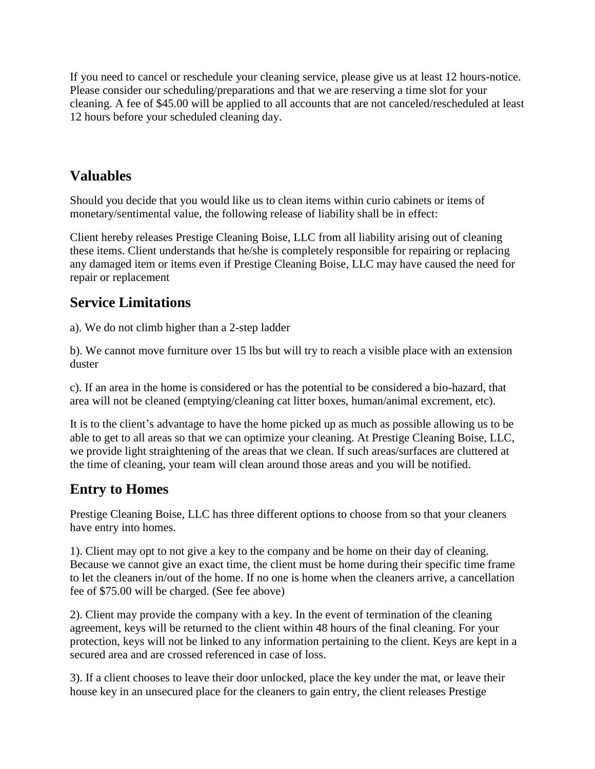If you need to cancel or reschedule your cleaning service, please give us at least 12 hours-notice. Please consider our scheduling/preparations and that we are reserving a time slot for your cleaning. A fee of \$45.00 will be applied to all accounts that are not canceled/rescheduled at least 12 hours before your scheduled cleaning day.

### **Valuables**

Should you decide that you would like us to clean items within curio cabinets or items of monetary/sentimental value, the following release of liability shall be in effect:

Client hereby releases Prestige Cleaning Boise, LLC from all liability arising out of cleaning these items. Client understands that he/she is completely responsible for repairing or replacing any damaged item or items even if Prestige Cleaning Boise, LLC may have caused the need for repair or replacement

## **Service Limitations**

a). We do not climb higher than a 2-step ladder

b). We cannot move furniture over 15 lbs but will try to reach a visible place with an extension duster

c). If an area in the home is considered or has the potential to be considered a bio-hazard, that area will not be cleaned (emptying/cleaning cat litter boxes, human/animal excrement, etc).

It is to the client's advantage to have the home picked up as much as possible allowing us to be able to get to all areas so that we can optimize your cleaning. At Prestige Cleaning Boise, LLC, we provide light straightening of the areas that we clean. If such areas/surfaces are cluttered at the time of cleaning, your team will clean around those areas and you will be notified.

## **Entry to Homes**

Prestige Cleaning Boise, LLC has three different options to choose from so that your cleaners have entry into homes.

1). Client may opt to not give a key to the company and be home on their day of cleaning. Because we cannot give an exact time, the client must be home during their specific time frame to let the cleaners in/out of the home. If no one is home when the cleaners arrive, a cancellation fee of \$75.00 will be charged. (See fee above)

2). Client may provide the company with a key. In the event of termination of the cleaning agreement, keys will be returned to the client within 48 hours of the final cleaning. For your protection, keys will not be linked to any information pertaining to the client. Keys are kept in a secured area and are crossed referenced in case of loss.

3). If a client chooses to leave their door unlocked, place the key under the mat, or leave their house key in an unsecured place for the cleaners to gain entry, the client releases Prestige